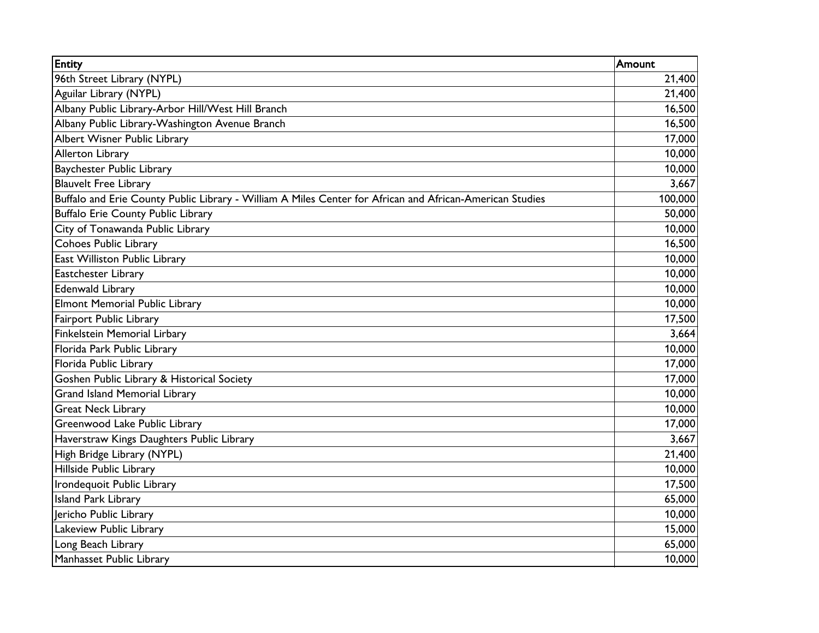| <b>Entity</b>                                                                                            | Amount           |
|----------------------------------------------------------------------------------------------------------|------------------|
| 96th Street Library (NYPL)                                                                               | 21,400           |
| Aguilar Library (NYPL)                                                                                   | 21,400           |
| Albany Public Library-Arbor Hill/West Hill Branch                                                        | 16,500           |
| Albany Public Library-Washington Avenue Branch                                                           | 16,500           |
| Albert Wisner Public Library                                                                             | 17,000           |
| Allerton Library                                                                                         | 10,000           |
| <b>Baychester Public Library</b>                                                                         | 10,000           |
| <b>Blauvelt Free Library</b>                                                                             | 3,667            |
| Buffalo and Erie County Public Library - William A Miles Center for African and African-American Studies | 100,000          |
| <b>Buffalo Erie County Public Library</b>                                                                | 50,000           |
| City of Tonawanda Public Library                                                                         | 10,000           |
| <b>Cohoes Public Library</b>                                                                             | 16,500           |
| East Williston Public Library                                                                            | 10,000           |
| Eastchester Library                                                                                      | 10,000           |
| <b>Edenwald Library</b>                                                                                  | 10,000           |
| <b>Elmont Memorial Public Library</b>                                                                    | 10,000           |
| Fairport Public Library                                                                                  | 17,500           |
| Finkelstein Memorial Lirbary                                                                             | 3,664            |
| Florida Park Public Library                                                                              | 10,000           |
| Florida Public Library                                                                                   | 17,000<br>17,000 |
| Goshen Public Library & Historical Society                                                               |                  |
| <b>Grand Island Memorial Library</b>                                                                     | 10,000           |
| <b>Great Neck Library</b>                                                                                | 10,000           |
| Greenwood Lake Public Library                                                                            | 17,000           |
| Haverstraw Kings Daughters Public Library                                                                | 3,667            |
| High Bridge Library (NYPL)                                                                               | 21,400           |
| Hillside Public Library                                                                                  | 10,000           |
| Irondequoit Public Library                                                                               | 17,500           |
| <b>Island Park Library</b>                                                                               | 65,000           |
| Jericho Public Library                                                                                   | 10,000           |
| Lakeview Public Library                                                                                  | 15,000           |
| Long Beach Library                                                                                       | 65,000           |
| Manhasset Public Library                                                                                 | 10,000           |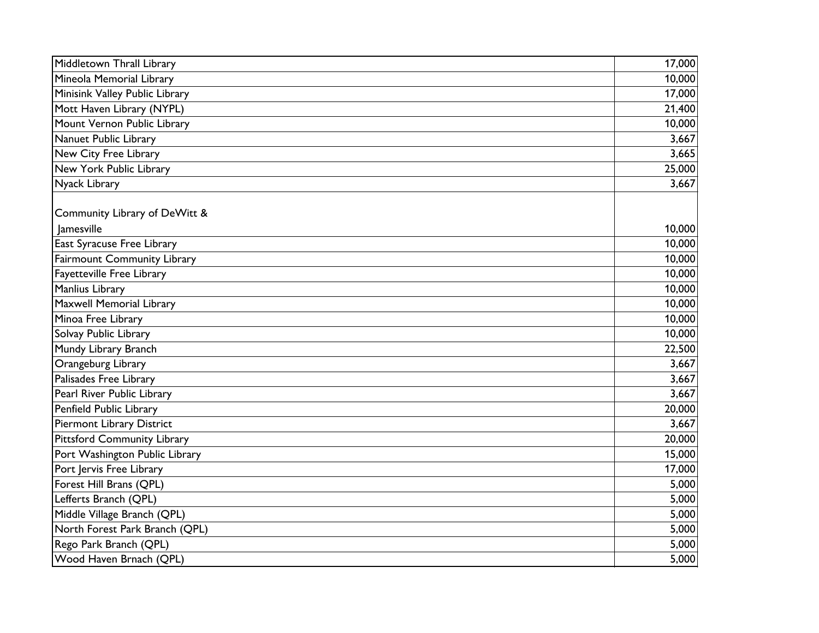| Middletown Thrall Library          | 17,000 |
|------------------------------------|--------|
| Mineola Memorial Library           | 10,000 |
| Minisink Valley Public Library     | 17,000 |
| Mott Haven Library (NYPL)          | 21,400 |
| Mount Vernon Public Library        | 10,000 |
| Nanuet Public Library              | 3,667  |
| New City Free Library              | 3,665  |
| New York Public Library            | 25,000 |
| Nyack Library                      | 3,667  |
| Community Library of DeWitt &      |        |
| <b>lamesville</b>                  | 10,000 |
| East Syracuse Free Library         | 10,000 |
| Fairmount Community Library        | 10,000 |
| <b>Fayetteville Free Library</b>   | 10,000 |
| Manlius Library                    | 10,000 |
| Maxwell Memorial Library           | 10,000 |
| Minoa Free Library                 | 10,000 |
| Solvay Public Library              | 10,000 |
| Mundy Library Branch               | 22,500 |
| Orangeburg Library                 | 3,667  |
| Palisades Free Library             | 3,667  |
| Pearl River Public Library         | 3,667  |
| Penfield Public Library            | 20,000 |
| Piermont Library District          | 3,667  |
| <b>Pittsford Community Library</b> | 20,000 |
| Port Washington Public Library     | 15,000 |
| Port Jervis Free Library           | 17,000 |
| Forest Hill Brans (QPL)            | 5,000  |
| Lefferts Branch (QPL)              | 5,000  |
| Middle Village Branch (QPL)        | 5,000  |
| North Forest Park Branch (QPL)     | 5,000  |
| Rego Park Branch (QPL)             | 5,000  |
| Wood Haven Brnach (QPL)            | 5,000  |